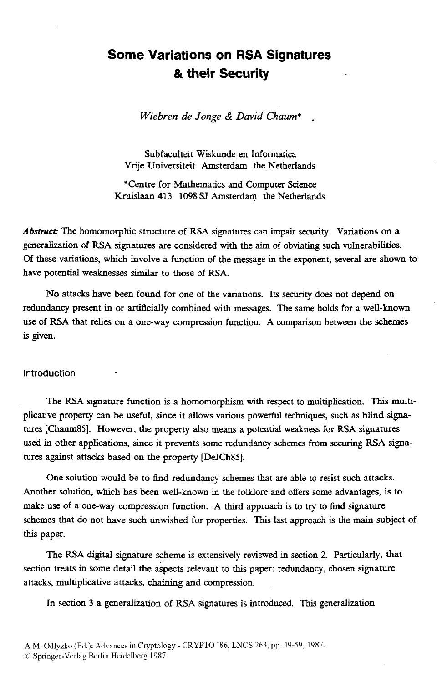# **Some Variations on RSA Signatures**  & **their Security**

*Wiebren de Jonge* & *David Cham\** 

Subfaculteit Wiskunde en Informatica Vrije Universiteit Amsterdam the Netherlands

+Centre for Mathematics and Computer Science Kruislaan **413** 1098 **SJ** Amsterdam the Netherlands

*Abstmct* The homomorphic structure of **RSA** signatures can impair security. Variations on a generalization of **RSA** signatures are considered with the aim of obviating such vulnerabilities. *Of* these variations, which involve a function of the message in the exponent, several are shown to have potential weaknesses similar to those of **FSA.** 

No attacks have been found for one of the variations. **Its security** does not depend on redundancy present in or artificially combined with messages. The same holds for a well-known use of **RSA** that relies **on** a one-way compression function. **A** comparison between the schemes is given.

# **introduction**

The **RSA** signature function is a homomorphism with respect to multiplication. This multiplicative property *can* be **useful,** since it allows various powerful techniques, such **as** blind signa**tures** [Chaum85]. **However,** the property also means a potential weakness for **RSA** signatures used in other applications, *sine* it prevents some redundancy schemes from securing **RSA** signatures against attacks based on the property [DeJCh85].

One solution would be to find redundancy schemes that are able to resist such attacks. Another solution, which has been well-known in the folklore and offers some advantages, is to make use of a one-way compression function. **A** third approach is to **try** to find signature schemes that do not have such unwished for properties. **This** last approach **is** the main subject of this paper.

The **RSA digital** signature scheme is extensively reviewed in section **2.** Particularly, that section treats **in** some detail the aspects relevant to **this** paper: redundancy, chosen signature attacks, multiplicative attacks, chaining and compression.

**In** section **3** a generalization of **RSA** signatures is introduced. This generalization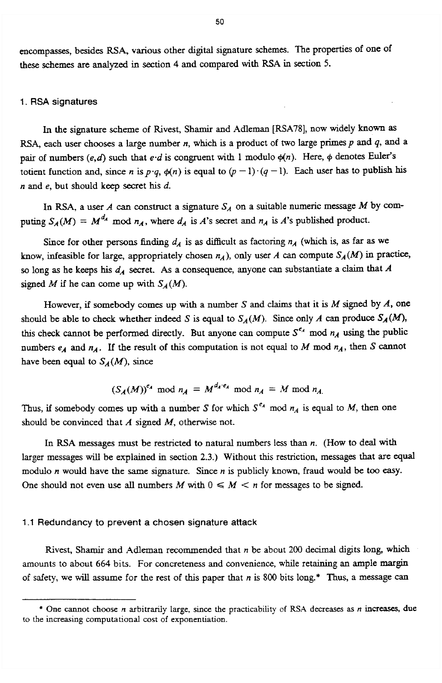encompasses, besides **RSA,** various other digital signature schemes. The properties of one **of**  these schemes are analyzed in section **4** and compared with RSA in **section** 5.

# **1. RSA signatures**

In the signature scheme of Rivest, Shamir and Adleman **[RSA78],** now widely known **as**  RSA, each user chooses a large number *n*, which is a product of two large primes *p* and *q*, and a pair of numbers  $(e, d)$  such that  $e \cdot d$  is congruent with 1 modulo  $\phi(n)$ . Here,  $\phi$  denotes Euler's totient function and, since *n* is  $p \cdot q$ ,  $\phi(n)$  is equal to  $(p-1) \cdot (q-1)$ . Each user has to publish his *n* and e, but should keep secret **his** *d.* 

In RSA, a user *A* can construct a signature  $S_A$  on a suitable numeric message *M* by computing  $S_A(M) = M^{d_A} \mod n_A$ , where  $d_A$  is *A*'s secret and  $n_A$  is *A*'s published product.

Since for other persons finding  $d_A$  is as difficult as factoring  $n_A$  (which is, as far as we know, infeasible for large, appropriately chosen  $n_A$ ), only user *A* can compute  $S_A(M)$  in practice, *so* long **as** he keeps **his** *dA* secret. **As** a consequence, anyone *can* substantiate a claim that *A*  signed *M* if he can come up with  $S_A(M)$ .

However, if somebody **comes** up with a number S and claims that it is *M* signed by *A,* one should be able to check whether indeed *S* is equal to  $S_A(M)$ . Since only *A* can produce  $S_A(M)$ , this check cannot be performed directly. But anyone can compute  $S^{\ell_A}$  mod  $n_A$  using the public numbers  $e_A$  and  $n_A$ . If the result of this computation is not equal to *M* mod  $n_A$ , then *S* cannot have been equal to  $S_A(M)$ , since

$$
(S_A(M))^{e_A} \bmod n_A = M^{d_A \cdot e_A} \bmod n_A = M \bmod n_A
$$

Thus, if somebody comes up with a number *S* for which  $S^{\ell_A}$  mod  $n_A$  is equal to *M*, then one should be convinced that *A* signed *M,* otherwise not.

In **RSA** messages must be restricted to natural numbers less **than** *n.* (How to deal with larger messages will be explained **in** section **2.3.)** Without **this** restriction, messages that are **qd**  modulo *n* would have the same signature. Since *n* is publicly known, fraud would be too easy. One should not even use all numbers  $M$  with  $0 \leq M < n$  for messages to be signed.

# **1.1 Redundancy** to **prevent a chosen signature** attack

Rivest, Shamir and Adleman recommended that *n* be about *200* decimal digits long, which amounts to about 664 bits. For concreteness and convenience, while retaining an ample margin of safety, we will assume for the rest of **this** paper that *n* is *800* bits long.\* Thus, a message can

<sup>\*</sup> **One cannot choose** *n* arbitrarily **large, since the practicability** of **RSA decreases as** *n* **increases, due to the** increasing computational *cost* of **exponentiation.**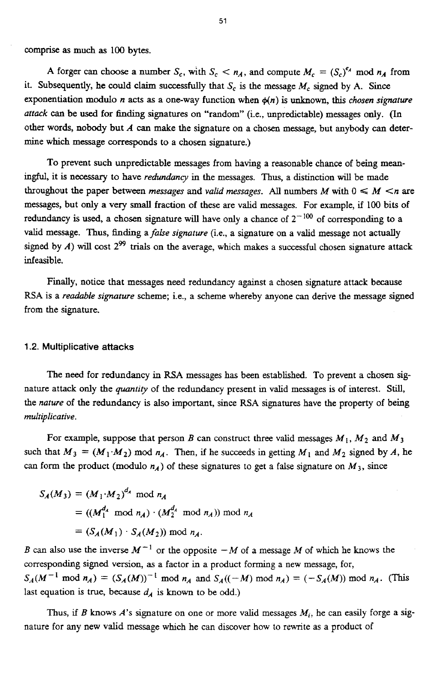comprise **as** much **as 100** bytes.

**A** forger can choose a number  $S_c$ , with  $S_c < n_A$ , and compute  $M_c = (S_c)^{e_A} \mod n_A$  from it. Subsequently, he could claim successfully that  $S<sub>c</sub>$  is the message  $M<sub>c</sub>$  signed by A. Since exponentiation modulo  $n$  acts as a one-way function when  $\phi(n)$  is unknown, this *chosen signature attack can* be used for finding signatures on "random" (i.e., unpredictable) messages only. (In other words, nobody but *A can* make the signature on a chosen message, but anybody *can* deter**mine** which message **corresponds** to a chosen signature.)

To prevent such unpredictable messages from having a reasonable chance of being meaningful, it is **necessary** to have *redundancy* in the messages. Thus, a distinction will be made throughout the paper between *messages* and *valid messages*. All numbers  $M$  with  $0 \leq M \leq n$  are messages, but only a very small fraction of these are valid messages. For example, if 100 bits of redundancy is used, a chosen signature will have only a chance of  $2^{-100}$  of corresponding to a valid message. **Thus,** finding a *fake signature* (ie., a signature on a valid message not actually siped by *A)* will cost **299** trials on the average, which makes a successful chosen signature attack infeasible.

Finally, notice that messages **need** redundancy against a chosen signature attack because RSA is a *readable signature scheme*; i.e., a scheme whereby anyone can derive the message signed from the signature.

# **1.2. Multiplicative attacks**

The need for redundancy in RSA messages has been established. To prevent a chosen signature attack only the *pmtify* **of** the redundancy present in valid messages is of interest. *Still,*  the *nature* of the redundancy is also important, since **RSA** signatures have the property of being *mdtiplicative.* 

For example, suppose that person *B* can construct three valid messages *MI, M2* and *M3*  such that  $M_3 = (M_1 \cdot M_2)$  mod  $n_A$ . Then, if he succeeds in getting  $M_1$  and  $M_2$  signed by A, he can form the product (modulo  $n_A$ ) of these signatures to get a false signature on  $M_3$ , since

$$
S_A(M_3) = (M_1 \cdot M_2)^{d_A} \mod n_A
$$
  
= ((M\_1^{d\_A} \mod n\_A) \cdot (M\_2^{d\_A} \mod n\_A)) \mod n\_A  
= (S\_A(M\_1) \cdot S\_A(M\_2)) \mod n\_A.

*B* can also use the inverse  $M^{-1}$  or the opposite  $-M$  of a message *M* of which he knows the **corresponding** signed version, **as** a factor in a product forming a new message, for,  $S_A(M^{-1} \text{ mod } n_A) = (S_A(M))^{-1} \text{ mod } n_A \text{ and } S_A((-M) \text{ mod } n_A) = (-S_A(M)) \text{ mod } n_A.$  (This last equation is true, because  $d_A$  is known to be odd.)

Thus, if *B* knows *A's* signature **on** one or more valid messages *M,,* he can easily forge a signature for any new valid message which he can discover how to rewrite **as** a product of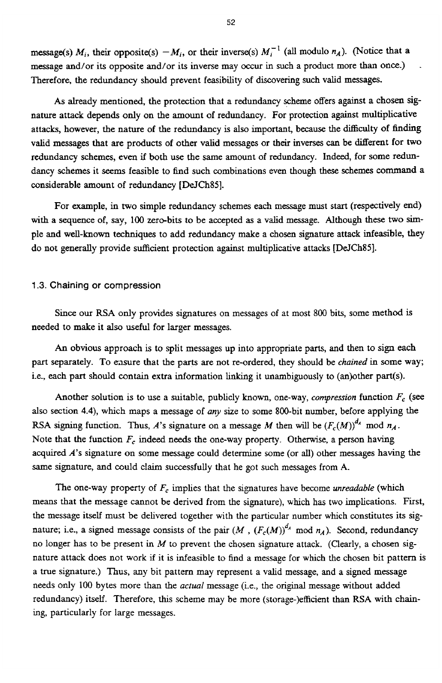message(s)  $M_i$ , their opposite(s)  $-M_i$ , or their inverse(s)  $M_i^{-1}$  (all modulo  $n_A$ ). (Notice that a message and/or its opposite and/or its inverse may occur in such a product more than **once.)**  Therefore, the redundancy should prevent feasibility of discovering such valid messages.

As already mentioned, the protection that a redundancy scheme offers against a chosen **Sig**nature attack depends only on the amount of redundancy. For protection against multiplicative attacks, however, the nature of the redundancy is also important, because the difficulty of finding valid messages that are products of other valid messages or their inverses *can* be different for two redundancy schemes, even if both use the same amount of redundancy. Indeed, for some redundancy schemes it *seems* feasible to find such combinations even though **these** schemes command a considerable amount of redundancy [DeJCh85].

For example, in two simple redundancy schemes each message must **start** (respectively end) with a sequence of, say, 100 zero-bits to be accepted **as** a valid message. Although these two simple and well-known techniques to add redundancy make a chosen signature attack infeasible, they do not generally provide sufficient protection against multiplicative attacks [DeJCh85].

#### **1.3. Chaining or compression**

**Since our RSA** only provides signatures on messages of at most 800 bits, some method is needed to make it **also** useful for larger messages.

An obvious approach is to split messages up into appropriate parts, and then to sign each part separately. To ensure that the parts are not re-ordered, they should be *chained* in some way; i.e., each part should **contain** extra information linking it unambiguously to (an)other part(s).

Another solution is to use a suitable, publicly known, one-way, *compression* function  $F_c$  (see also section **4.4),** which maps a message of *any* size to some 800-bit number, before applying the RSA signing function. Thus, *A*'s signature on a message *M* then will be  $(F_c(M))^{d_A}$  mod  $n_A$ . Note that the function *F,* indeed needs the one-way property. Otherwise, a person having acquired *A's* signature on some message could determine some (or all) other messages having the same signature, and could claim successfully that he got such messages from **A.** 

The one-way property of *F,* implies that the signatures have become *unreadable* (which means that the message cannot be derived from the signature), which has two implications. First, the message itself must be delivered together with the particular number which constitutes its **sig**nature; i.e., a signed message consists of the pair  $(M, (F_c(M))^{d_A} \mod n_A)$ . Second, redundancy no longer has to be present in *M* to prevent the chosen signature attack. (Clearly, a chosen **sig**nature attack does not work *if* it is infeasible to find a message for which the chosen bit pattern is a true signature.) **Thus,** any bit pattern may represent a valid message, and a signed message needs only 100 bytes more than the *actual* message (i.e., the **original** message without added redundancy) itself. Therefore, **this** scheme may be more (storage-)efficient than **RSA** with chain**ing,** particularly for large messages.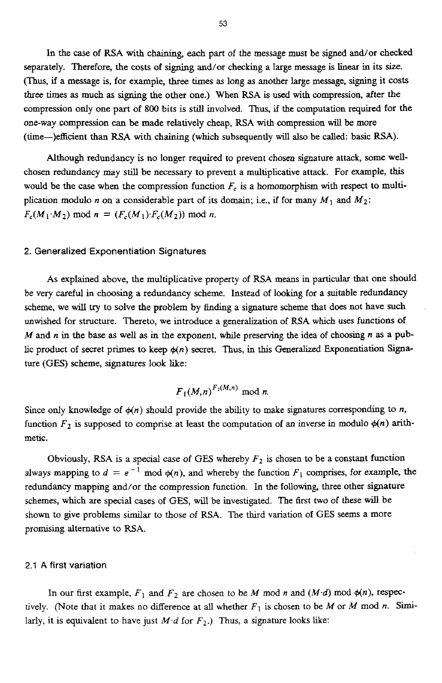In the *case* of **RSA** with chaining, each part of the message must be *signed* and/or checked separately. Therefore, the costs of signing and/or checking a large message is linear in its size. **(Thus,** if a message is, for example, **three** times **as** long **as** another large message, signing it **costs**  *three* times **as** much **as signing the** other one.) When **RSA is** used with compression, after *the*  compression only one part of 800 bits is *still* involved. **Thus,** if the computation required for the one-way compression *can* be made relatively cheap, **RSA** with compression will be more (time-)efficient than **RSA** with chaining (which subsequently wiU also be called: basic **RSA).** 

Although redundancy is no longer required to prevent chosen signature attack, some wellchosen redundancy **may** *still* be necessary to prevent a multiplicative attack. For example, this would be the case when the compression function  $F_c$  is a homomorphism with respect to multiplication modulo *n* on a considerable part of its domain; i.e., if for many  $M_1$  and  $M_2$ :  $F_c(M_1 \cdot M_2) \text{ mod } n = (F_c(M_1) \cdot F_c(M_2)) \text{ mod } n.$ 

#### **2. Generalized Exponentiation Signatures**

**As** explained above, the multiplicative property of **RSA** means in particular that one should be very careful in **choosing** a redundancy scheme. Instead of looking for a suitable redundancy scheme, we will **try** to solve the problem by **finding** a signature scheme that does not have such unwished for structure. Thereto, we **introduce** a generatization of **RSA** which *uses* functions of *M* and *n* in the base **as** well **as** in *the* exponent, while preserving the idea of choosing *n* **a~** a public product of secret primes to keep  $\phi(n)$  secret. Thus, in this Generalized Exponentiation Signature (GES) scheme, signatures **look** like:

$$
F_1(M,n)^{F_2(M,n)} \bmod n.
$$

Since only knowledge of  $\phi(n)$  should provide the ability to make signatures corresponding to *n*, function  $F_2$  is supposed to comprise at least the computation of an inverse in modulo  $\phi(n)$  arithmetic.

Obviously, RSA is a special case of GES whereby  $F_2$  is chosen to be a constant function always mapping to  $d = e^{-1}$  mod  $\phi(n)$ , and whereby the function  $F_1$  comprises, for example, the redundancy mapping and/or the compression function. In the following, **three** other signature schemes, which are special cases of GES, will be investigated. The first two of these will be shown to give problems **similar** to those of **RSA.** The third variation of GES seems a more **promising** alternative to **RSA.** 

# **2.1 A first variation**

In our first example,  $F_1$  and  $F_2$  are chosen to be *M* mod *n* and  $(M \cdot d)$  mod  $\phi(n)$ , respectively. (Note that it makes no difference at all whether  $F_1$  is chosen to be *M* or *M* mod *n*. Similarly, it is equivalent to have just  $M \cdot d$  for  $F_2$ .) Thus, a signature looks like: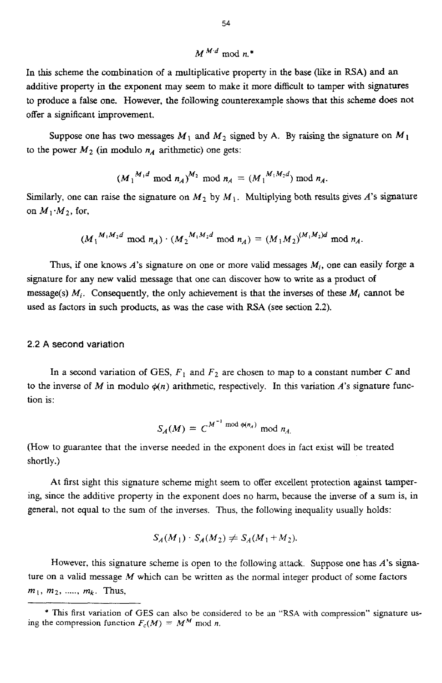# $M^{M \cdot d} \mod n$ <sup>\*</sup>

In this scheme the combination of a multiplicative property in the base (like in RSA) and an additive property in the exponent may seem to make it more difEcult *to* tamper with signatures to produce a false one. However, the following counterexample shows that this scheme **does** not offer a significant improvement.

Suppose one has two messages  $M_1$  and  $M_2$  signed by A. By raising the signature on  $M_1$ to the power  $M_2$  (in modulo  $n_A$  arithmetic) one gets:

$$
(M_1^{M_1d} \bmod n_A)^{M_2} \bmod n_A = (M_1^{M_1M_2d}) \bmod n_A.
$$

Similarly, one can raise the signature on  $M_2$  by  $M_1$ . Multiplying both results gives  $A$ 's signature on  $M_1 \cdot M_2$ , for,

$$
(M_1^{M_1M_2d} \bmod n_A) \cdot (M_2^{M_1M_2d} \bmod n_A) = (M_1M_2)^{(M_1M_2)d} \bmod n_A
$$

Thus, if one knows *A's* signature on one or more valid messages *Mi,* one can easily forge a signature for any new valid message that one can discover how to write **as** a product of message(s)  $M_i$ . Consequently, the only achievement is that the inverses of these  $M_i$  cannot be used as factors in such products, **as** was the case with **RSA** (see section **2.2).** 

#### **2.2 A second variation**

In a second variation of GES,  $F_1$  and  $F_2$  are chosen to map to a constant number C and to the inverse of *M* in modulo  $\phi(n)$  arithmetic, respectively. In this variation *A*'s signature function is:

$$
S_A(M) = C^{M^{-1} \bmod{\phi(n_A)}} \bmod n_A
$$

(How to guarantee that the inverse needed in the exponent does in fact exist will be treated shortly.)

At first sight this signature scheme might seem to offer excellent protection against tampering, since the additive property in the exponent does no harm, because the inverse of a sum is, in general, not equal to the sum of the inverses. Thus, the following inequality usually holds:

$$
S_A(M_1) \cdot S_A(M_2) \neq S_A(M_1 + M_2).
$$

However. this signature scheme is open to the following attack. Suppose one **has** *A's* signature on a valid message *M* which can be written as the normal integer product of some factors  $m_1, m_2, \ldots, m_k$ . Thus,

<sup>\*</sup> **This first** variation of GES can also be considered to be an **"RSA** with compression" signature **US**ing the compression function  $F_c(M) = M^M \text{ mod } n$ .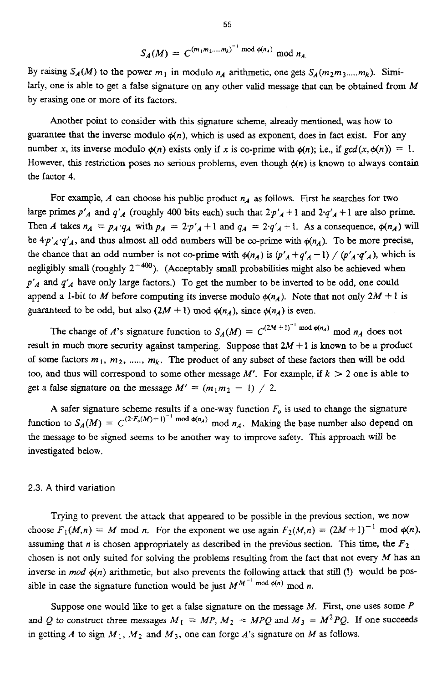$$
S_A(M) = C^{(m_1 m_2 \dots m_k)^{-1} \bmod \phi(n_A)} \bmod n_A
$$

By raising  $S_A(M)$  to the power  $m_1$  in modulo  $n_A$  arithmetic, one gets  $S_A(m_2m_3,...,m_k)$ . Similarly, one is able to get a false signature on any other valid message that can be obtained from *M*  by erasing one or more of its factors.

Another point to consider with this signature scheme, already mentioned, was how to guarantee that the inverse modulo  $\phi(n)$ , which is used as exponent, does in fact exist. For any number x, its inverse modulo  $\phi(n)$  exists only if x is co-prime with  $\phi(n)$ ; i.e., if  $gcd(x, \phi(n)) = 1$ . However, this restriction poses no serious problems, even though  $\phi(n)$  is known to always contain the factor **4.** 

For example, *A* can choose his public product  $n_A$  as follows. First he searches for two large primes  $p'_A$  and  $q'_A$  (roughly 400 bits each) such that  $2p'_A + 1$  and  $2q'_A + 1$  are also prime. Then *A* takes  $n_A = p_A q_A$  with  $p_A = 2p'_A + 1$  and  $q_A = 2q'_A + 1$ . As a consequence,  $\phi(n_A)$  will be  $4p'_A \cdot q'_A$ , and thus almost all odd numbers will be co-prime with  $\phi(n_A)$ . To be more precise, the chance that an odd number is not co-prime with  $\phi(n_A)$  is  $(p'_A + q'_A - 1)$  /  $(p'_A \cdot q'_A)$ , which is neghgibly small (roughly *2-400).* (Acceptably small probabilities might also be achieved **when**   $p'_{A}$  and  $q'_{A}$  have only large factors.) To get the number to be inverted to be odd, one could append a 1-bit to *M* before computing its inverse modulo  $\phi(n_A)$ . Note that not only  $2M + 1$  is guaranteed to be odd, but also  $(2M + 1) \text{ mod } \phi(n_A)$ , since  $\phi(n_A)$  is even.

The change of *A's* signature function to  $S_A(M) = C^{(2M+1)^{-1} \mod \phi(n_A)} \mod n_A$  does not result in much more security against tampering. Suppose that **2M** + 1 is known to be **a** product of some factors  $m_1, m_2, \dots, m_k$ . The product of any subset of these factors then will be odd too, and thus will correspond to some other message  $M'$ . For example, if  $k > 2$  one is able to get a false signature on the message  $M' = (m_1 m_2 - 1) / 2$ .

function to  $S_A(M) = C^{(2 \cdot F_o(M) + 1)^{-1} \mod \phi(n_A)}$  mod  $n_A$ . Making the base number also depend on A safer signature scheme results if a one-way function  $F<sub>o</sub>$  is used to change the signature the message to be signed **seems** to be another way to improve safety. This approach will be investigated below.

# **2.3. A third variation**

Trying to prevent the attack that appeared to be possible in the previous section, we now choose  $F_1(M,n) = M \text{ mod } n$ . For the exponent we use again  $F_2(M,n) = (2M+1)^{-1} \text{ mod } \phi(n)$ , assuming that *n* **is** chosen appropriately **as** described in the previous section. This **time,** the *F2*  chosen is not only **suited** for solving the problems resulting from the fact that not every *M* **has an**  inverse in *mod*  $\phi(n)$  arithmetic, but also prevents the following attack that still (!) would be possible in case the signature function would be just  $M^{M^{-1} \text{ mod } \phi(n)}$  mod *n*.

Suppose one would like to get a false signature on the message *M.* First, one uses some *P*  and Q to construct three messages  $M_1 = MP$ ,  $M_2 = MPQ$  and  $M_3 = M^2PQ$ . If one succeeds in getting *A* to sign  $M_1$ ,  $M_2$  and  $M_3$ , one can forge *A*'s signature on *M* as follows.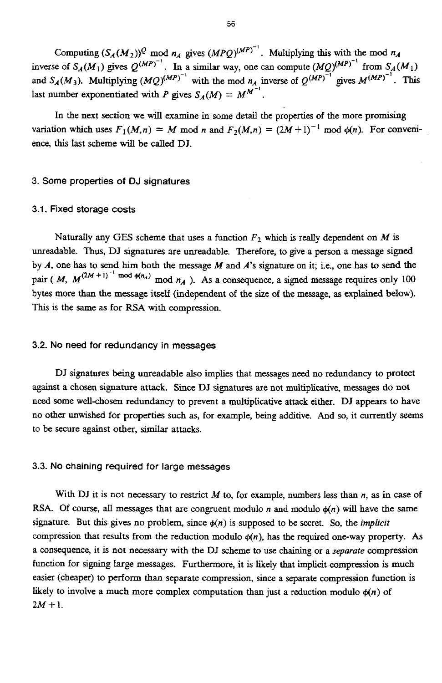Computing  $(S_A(M_2))^Q$  mod  $n_A$  gives  $(MPQ)^{(MP)^{-1}}$ . Multiplying this with the mod  $n_A$ inverse of  $S_A(M_1)$  gives  $Q^{(MP)^{-1}}$ . In a similar way, one can compute  $(MQ)^{(MP)^{-1}}$  from  $S_A(M_1)$ and *S<sub>A</sub>*(*M*<sub>3</sub>). Multiplying  $(MQ)^{(MP)^{-1}}$  with the mod *n<sub>A</sub>* inverse of  $Q^{(MP)^{-1}}$  gives  $M^{(MP)^{-1}}$ . This last number exponentiated with *P* gives  $S_A(M) = M^{M^{-1}}$ .

**In** the next section we will examine in some detail the properties of the more promising variation which uses  $F_1(M,n) = M \mod n$  and  $F_2(M,n) = (2M+1)^{-1} \mod \phi(n)$ . For convenience, this last scheme will be called DJ.

#### **3. Some properties of DJ signatures**

#### **3.1. Fixed storage costs**

Naturally any GES scheme that uses a function  $F_2$  which is really dependent on *M* is unreadable. **Thus, DJ** signatures are unreadable. Therefore, to give a person a message signed by *A,* one **has** to send him both the message *M* and *A's* signature on it; i.e., one has to send the pair (M,  $M^{(2M + 1)^{-1}}$  mod  $\phi(n_A)$  mod  $n_A$ ). As a consequence, a signed message requires only 100 bytes more than the message itself (independent of the size of the message, **as** explained below). This is the same as for **RSA** with compression.

#### **3.2. No need for redundancy in messages**

DJ signatures being unreadable also implies that messages **need** no redundancy to protect against a chosen signature attack. **Since** DJ signatures are not multiplicative, messages **do not**  need some well-chosen redundancy to prevent a multiplicative attack either. DJ appears to have no other unwished for properties such **as,** for example, being additive. And so, it currently **seems**  to be secure against other, **similar** attacks.

### **3.3.** No **chaining required for large messages**

With DJ it is not **necessary** to restrict *M* to, for example, numbers less than *n,* **as** in *case* of RSA. Of course, all messages that are congruent modulo *n* and modulo  $\phi(n)$  will have the same signature. But this gives no problem, since  $\phi(n)$  is supposed to be secret. So, the *implicit* compression that results from the reduction modulo  $\phi(n)$ , has the required one-way property. As a consequence, it is not **necessary** with the DJ scheme to **use** chaining or a *separate* compression function for signing large messages. Furthermore, it is likely that implicit compression is much easier (cheaper) to **perform** than separate compression, since a separate compression function is likely to involve a much more complex computation than just a reduction modulo  $\phi(n)$  of  $2M + 1$ .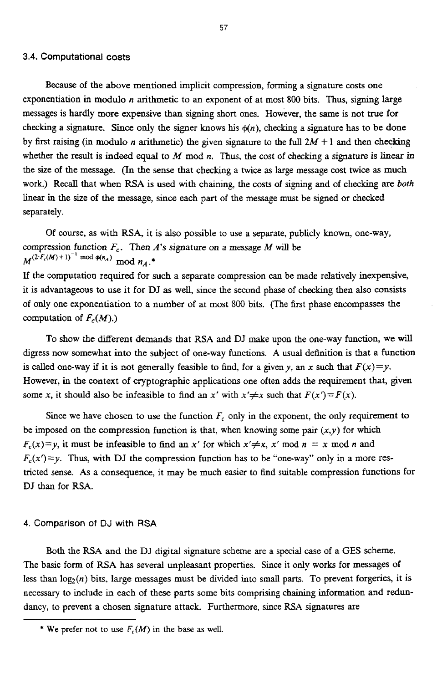#### **3.4. Computational costs**

Because of the above mentioned implicit compression, forming a signature costs one exponentiation **in modulo** *n* arithmetic to **an** exponent of at most 800 bits. Thus, signing large messages is hardly more expensive than signing short ones. However, the same is not true for checking a signature. Since only the signer knows his  $\phi(n)$ , checking a signature has to be done by first raising (in modulo *n* arithmetic) the given signature to the full  $2M + 1$  and then checking whether the result is **indeed equal** to *M* mod *n.* Thus, the cost of checking a signature **is** linear in the size of the message. (In the sense that checking a twice **as** large message cost **twice as** much work.) Recall that when RSA is used with chaining, the costs of signing and of checking are *both* linear in the size of the message, since each **part** of the message must be signed or checked separately.

Of course, **as** with **RSA,** it is also possible to use a separate, publicly known, one-way, compression function  $F_c$ . Then *A*'s signature on a message *M* will be  $M^{(2 \cdot F_c(M) + 1)^{-1} \mod \phi(n_A)} \mod n_A$ .\*

If the computation required for such **a** separate compression *can* be made relatively inexpensive, **it is** advantageous to use it for DJ **as** well, since the second phase of checking then also consists of only one exponentiation to a number of at most 800 bits. (The first phase encompasses the computation of  $F_c(M)$ .)

To show the merent demands that **RSA** and DJ make upon the one-way function, we will **digress** now somewhat into the subject of one-way functions. **A** usual definition is that a function is called one-way if it is not generally feasible to find, for a given y, an x such that  $F(x)=y$ . However, in the context of cryptographic applications one often adds the requirement that, given some *x*, it should also be infeasible to find an *x'* with  $x' \neq x$  such that  $F(x') = F(x)$ .

Since we have chosen to use the function  $F_c$  only in the exponent, the only requirement to be imposed on the compression function is that, when knowing some pair  $(x, y)$  for which  $F_c(x) = y$ , it must be infeasible to find an *x'* for which  $x' \neq x$ , *x'* mod  $n = x \mod n$  and  $F_c(x') = y$ . Thus, with DJ the compression function has to be "one-way" only in a more restricted sense. **As** a consequence, it may be much easier to find suitable compression functions for DJ than for **RSA.** 

### **4. Comparison** of DJ with **RSA**

Both the RSA and the DJ digital signature scheme are a special case of a GES scheme. The basic form of **RSA** has several unpleasant properties. Since it only works for messages of less than *logz(n)* bits, large messages must be divided into small **parts.** To prevent forgeries, it is necessary to include in each of these parts some bits comprising chaining information and redundancy, to prevent a chosen signature attack. Furthermore, since **RSA** signatures are

<sup>\*</sup> We prefer not to use  $F_c(M)$  in the base as well.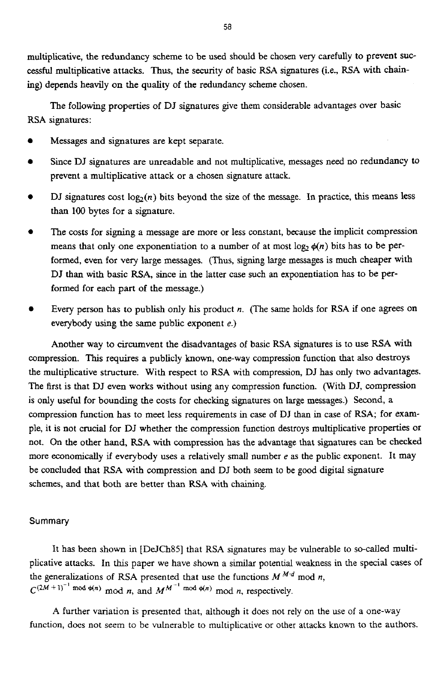multiplicative, the redundancy scheme to be used should be chosen very carefully to prevent successful multiplicative attacks. Thus, the security of basic **RSA** signatures (i,e., **RSA** with chain**ing)** depends heavily on the quality of the redundancy scheme chosen.

The following properties of DJ signatures give them considerable advantages over basic **RSA** signatures:

- Messages and signatures are kept separate.
- Since DJ signatures are unreadable and not multiplicative, messages **need** no redundancy to prevent a multiplicative attack or a chosen signature attack.
- DJ signatures cost  $log<sub>2</sub>(n)$  bits beyond the size of the message. In practice, this means less than 100 bytes for a signature.
- The costs for **signing** a message are more or less constant, because the implicit compression means that only one exponentiation to a number of at most  $\log_2 \phi(n)$  bits has to be performed, even for very large messages. (Thus, signing large messages is much cheaper with DJ than with basic **RSA,** since in the latter case such an exponentiation has to be performed for each part of the message.)
- Every person has to publish only his product *n.* (The same holds for **RSA** if one agrees on everybody using the same public exponent *e.)*

Another way to circumvent the disadvantages of basic **RSA** signatures is to use **RSA** with compression. This requires a publicly **known,** one-way compression function that also destroys the multiplicative structure. With respect to **RSA** with compression, DJ has only two advantages. The first **is** that DJ even works without **using** any compression function. (With DJ, compression **is** only useful for bounding the costs for checking signatures on large messages.) **Second,** a compression function **has** to meet less requirements in case of **DJ** than in case of **RSA;** for example, it is not crucial for DJ whether the compression function destroys multiplicative properties or not. *On* the other **hand, RSA** with compression has the advantage that signatures can be checked more economically if everybody uses a relatively small number *<sup>e</sup>***as** the public exponent. It may be concluded that **RSA** with compression and DJ both seem to be good digital signature schemes, and that both are better than **RSA** with chaining.

# **Summary**

It has been shown in [DeJCh85] that **RSA** signatures may be vulnerable to so-called multiplicative attacks. In this paper we have shown a **similar** potential weakness in the special cases **of**  the generalizations of RSA presented that use the functions  $M^{M \cdot d}$  mod *n*,  $C^{(2M + 1)^{-1}}$  mod  $\phi(n)$  mod *n*, and  $M^{M^{-1}}$  mod  $\phi(n)$  mod *n*, respectively.

**A** further variation **is** presented that, although it does not rely on the use of a one-way function, does not seem to be vulnerable to multiplicative or other attacks known to the authors.